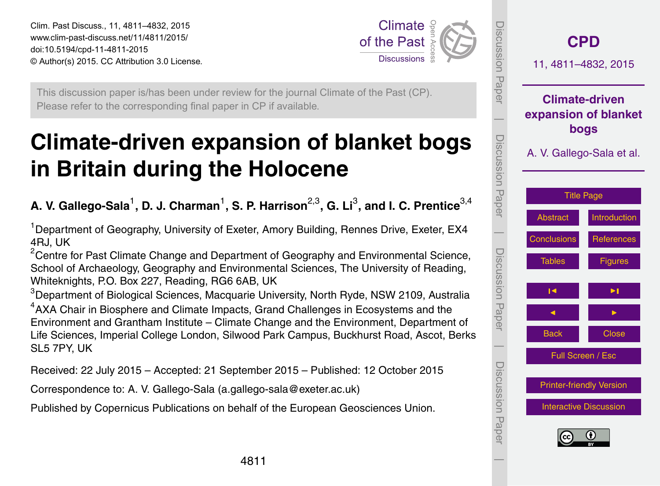<span id="page-0-0"></span>Clim. Past Discuss., 11, 4811–4832, 2015 www.clim-past-discuss.net/11/4811/2015/ doi:10.5194/cpd-11-4811-2015 © Author(s) 2015. CC Attribution 3.0 License.



This discussion paper is/has been under review for the journal Climate of the Past (CP). Please refer to the corresponding final paper in CP if available.

# **Climate-driven expansion of blanket bogs in Britain during the Holocene**

# A. V. Gallego-Sala<sup>1</sup>, D. J. Charman<sup>1</sup>, S. P. Harrison<sup>2,3</sup>, G. Li<sup>3</sup>, and I. C. Prentice<sup>3,4</sup>

<sup>1</sup> Department of Geography, University of Exeter, Amory Building, Rennes Drive, Exeter, EX4 4RJ, UK

 $2$ Centre for Past Climate Change and Department of Geography and Environmental Science, School of Archaeology, Geography and Environmental Sciences, The University of Reading, Whiteknights, P.O. Box 227, Reading, RG6 6AB, UK

<sup>3</sup>Department of Biological Sciences, Macquarie University, North Ryde, NSW 2109, Australia <sup>4</sup> AXA Chair in Biosphere and Climate Impacts, Grand Challenges in Ecosystems and the Environment and Grantham Institute – Climate Change and the Environment, Department of Life Sciences, Imperial College London, Silwood Park Campus, Buckhurst Road, Ascot, Berks SL5 7PY, UK

Received: 22 July 2015 – Accepted: 21 September 2015 – Published: 12 October 2015

Correspondence to: A. V. Gallego-Sala (a.gallego-sala@exeter.ac.uk)

Published by Copernicus Publications on behalf of the European Geosciences Union.

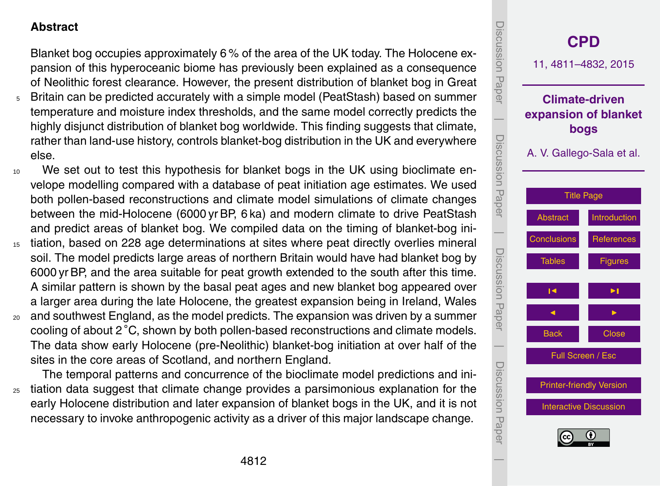#### <span id="page-1-0"></span>**Abstract**

Blanket bog occupies approximately 6 % of the area of the UK today. The Holocene expansion of this hyperoceanic biome has previously been explained as a consequence of Neolithic forest clearance. However, the present distribution of blanket bog in Great

- <sup>5</sup> Britain can be predicted accurately with a simple model (PeatStash) based on summer temperature and moisture index thresholds, and the same model correctly predicts the highly disjunct distribution of blanket bog worldwide. This finding suggests that climate, rather than land-use history, controls blanket-bog distribution in the UK and everywhere else.
- <sup>10</sup> We set out to test this hypothesis for blanket bogs in the UK using bioclimate envelope modelling compared with a database of peat initiation age estimates. We used both pollen-based reconstructions and climate model simulations of climate changes between the mid-Holocene (6000 yr BP, 6 ka) and modern climate to drive PeatStash and predict areas of blanket bog. We compiled data on the timing of blanket-bog ini-
- <sup>15</sup> tiation, based on 228 age determinations at sites where peat directly overlies mineral soil. The model predicts large areas of northern Britain would have had blanket bog by 6000 yr BP, and the area suitable for peat growth extended to the south after this time. A similar pattern is shown by the basal peat ages and new blanket bog appeared over a larger area during the late Holocene, the greatest expansion being in Ireland, Wales
- <sup>20</sup> and southwest England, as the model predicts. The expansion was driven by a summer cooling of about 2 ◦C, shown by both pollen-based reconstructions and climate models. The data show early Holocene (pre-Neolithic) blanket-bog initiation at over half of the sites in the core areas of Scotland, and northern England.

The temporal patterns and concurrence of the bioclimate model predictions and ini-<sup>25</sup> tiation data suggest that climate change provides a parsimonious explanation for the early Holocene distribution and later expansion of blanket bogs in the UK, and it is not necessary to invoke anthropogenic activity as a driver of this major landscape change.

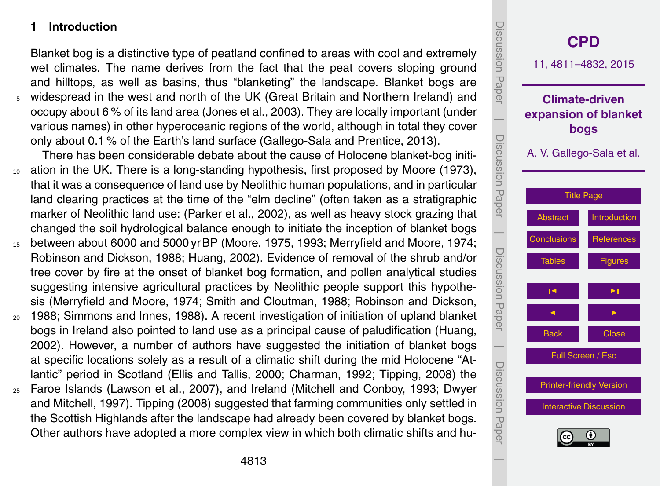#### <span id="page-2-0"></span>**1 Introduction**

Blanket bog is a distinctive type of peatland confined to areas with cool and extremely wet climates. The name derives from the fact that the peat covers sloping ground and hilltops, as well as basins, thus "blanketing" the landscape. Blanket bogs are <sup>5</sup> widespread in the west and north of the UK (Great Britain and Northern Ireland) and occupy about 6 % of its land area (Jones et al., 2003). They are locally important (under various names) in other hyperoceanic regions of the world, although in total they cover only about 0.1 % of the Earth's land surface (Gallego-Sala and Prentice, 2013).

There has been considerable debate about the cause of Holocene blanket-bog initi-<sup>10</sup> ation in the UK. There is a long-standing hypothesis, first proposed by Moore (1973), that it was a consequence of land use by Neolithic human populations, and in particular land clearing practices at the time of the "elm decline" (often taken as a stratigraphic marker of Neolithic land use: (Parker et al., 2002), as well as heavy stock grazing that changed the soil hydrological balance enough to initiate the inception of blanket bogs

- <sup>15</sup> between about 6000 and 5000 yrBP (Moore, 1975, 1993; Merryfield and Moore, 1974; Robinson and Dickson, 1988; Huang, 2002). Evidence of removal of the shrub and/or tree cover by fire at the onset of blanket bog formation, and pollen analytical studies suggesting intensive agricultural practices by Neolithic people support this hypothesis (Merryfield and Moore, 1974; Smith and Cloutman, 1988; Robinson and Dickson,
- <sup>20</sup> 1988; Simmons and Innes, 1988). A recent investigation of initiation of upland blanket bogs in Ireland also pointed to land use as a principal cause of paludification (Huang, 2002). However, a number of authors have suggested the initiation of blanket bogs at specific locations solely as a result of a climatic shift during the mid Holocene "Atlantic" period in Scotland (Ellis and Tallis, 2000; Charman, 1992; Tipping, 2008) the
- <sup>25</sup> Faroe Islands (Lawson et al., 2007), and Ireland (Mitchell and Conboy, 1993; Dwyer and Mitchell, 1997). Tipping (2008) suggested that farming communities only settled in the Scottish Highlands after the landscape had already been covered by blanket bogs. Other authors have adopted a more complex view in which both climatic shifts and hu-

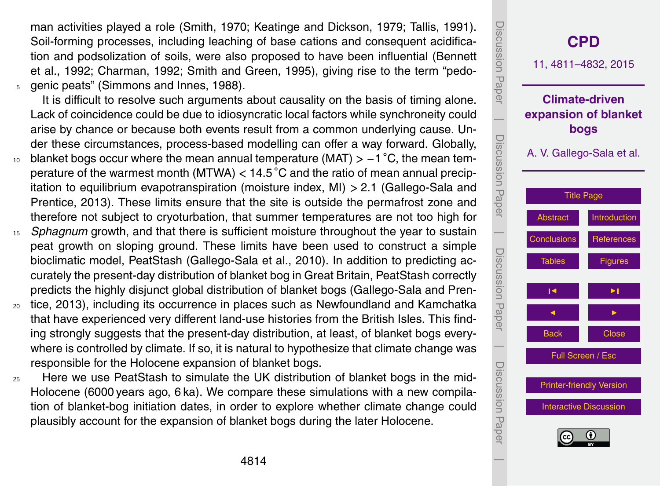man activities played a role (Smith, 1970; Keatinge and Dickson, 1979; Tallis, 1991). Soil-forming processes, including leaching of base cations and consequent acidification and podsolization of soils, were also proposed to have been influential (Bennett et al., 1992; Charman, 1992; Smith and Green, 1995), giving rise to the term "pedo-<sup>5</sup> genic peats" (Simmons and Innes, 1988).

It is difficult to resolve such arguments about causality on the basis of timing alone. Lack of coincidence could be due to idiosyncratic local factors while synchroneity could arise by chance or because both events result from a common underlying cause. Under these circumstances, process-based modelling can offer a way forward. Globally, <sup>10</sup> blanket bogs occur where the mean annual temperature (MAT) > -1 °C, the mean tem-

- perature of the warmest month (MTWA) *<* 14.5 ◦C and the ratio of mean annual precipitation to equilibrium evapotranspiration (moisture index, MI) *>* 2.1 (Gallego-Sala and Prentice, 2013). These limits ensure that the site is outside the permafrost zone and therefore not subject to cryoturbation, that summer temperatures are not too high for
- <sup>15</sup> *Sphagnum* growth, and that there is sufficient moisture throughout the year to sustain peat growth on sloping ground. These limits have been used to construct a simple bioclimatic model, PeatStash (Gallego-Sala et al., 2010). In addition to predicting accurately the present-day distribution of blanket bog in Great Britain, PeatStash correctly predicts the highly disjunct global distribution of blanket bogs (Gallego-Sala and Pren-
- <sup>20</sup> tice, 2013), including its occurrence in places such as Newfoundland and Kamchatka that have experienced very different land-use histories from the British Isles. This finding strongly suggests that the present-day distribution, at least, of blanket bogs everywhere is controlled by climate. If so, it is natural to hypothesize that climate change was responsible for the Holocene expansion of blanket bogs.
- <sup>25</sup> Here we use PeatStash to simulate the UK distribution of blanket bogs in the mid-Holocene (6000 years ago, 6 ka). We compare these simulations with a new compilation of blanket-bog initiation dates, in order to explore whether climate change could plausibly account for the expansion of blanket bogs during the later Holocene.

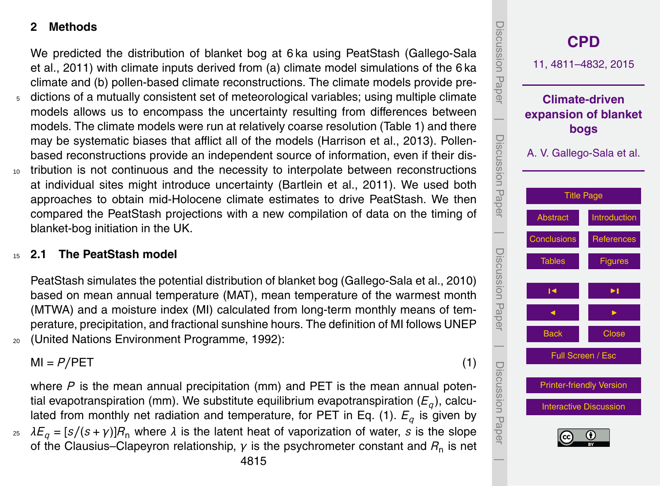#### **2 Methods**

We predicted the distribution of blanket bog at 6 ka using PeatStash (Gallego-Sala et al., 2011) with climate inputs derived from (a) climate model simulations of the 6 ka climate and (b) pollen-based climate reconstructions. The climate models provide pre-

- <sup>5</sup> dictions of a mutually consistent set of meteorological variables; using multiple climate models allows us to encompass the uncertainty resulting from differences between models. The climate models were run at relatively coarse resolution (Table 1) and there may be systematic biases that afflict all of the models (Harrison et al., 2013). Pollenbased reconstructions provide an independent source of information, even if their dis-
- <sup>10</sup> tribution is not continuous and the necessity to interpolate between reconstructions at individual sites might introduce uncertainty (Bartlein et al., 2011). We used both approaches to obtain mid-Holocene climate estimates to drive PeatStash. We then compared the PeatStash projections with a new compilation of data on the timing of blanket-bog initiation in the UK.

## <sup>15</sup> **2.1 The PeatStash model**

PeatStash simulates the potential distribution of blanket bog (Gallego-Sala et al., 2010) based on mean annual temperature (MAT), mean temperature of the warmest month (MTWA) and a moisture index (MI) calculated from long-term monthly means of temperature, precipitation, and fractional sunshine hours. The definition of MI follows UNEP <sup>20</sup> (United Nations Environment Programme, 1992):

 $M = P/PET$  (1)

where P is the mean annual precipitation (mm) and PET is the mean annual potential evapotranspiration (mm). We substitute equilibrium evapotranspiration (*E<sup>q</sup>* ), calculated from monthly net radiation and temperature, for PET in Eq. (1). *E<sup>q</sup>* is given by  $25$   $λE_q = [s/(s + γ)]R_n$  where  $λ$  is the latent heat of vaporization of water, *s* is the slope

of the Clausius–Clapeyron relationship,  $γ$  is the psychrometer constant and  $R_{\sf n}$  is net

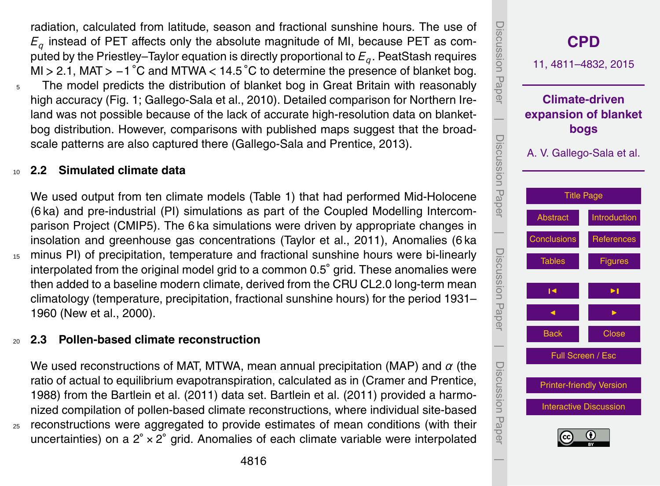radiation, calculated from latitude, season and fractional sunshine hours. The use of *Eq* instead of PET affects only the absolute magnitude of MI, because PET as computed by the Priestley–Taylor equation is directly proportional to *E<sup>q</sup>* . PeatStash requires MI *>* 2.1, MAT *>* −1 ◦C and MTWA *<* 14.5 ◦C to determine the presence of blanket bog. <sup>5</sup> The model predicts the distribution of blanket bog in Great Britain with reasonably

high accuracy (Fig. 1; Gallego-Sala et al., 2010). Detailed comparison for Northern Ireland was not possible because of the lack of accurate high-resolution data on blanketbog distribution. However, comparisons with published maps suggest that the broadscale patterns are also captured there (Gallego-Sala and Prentice, 2013).

## <sup>10</sup> **2.2 Simulated climate data**

We used output from ten climate models (Table 1) that had performed Mid-Holocene (6 ka) and pre-industrial (PI) simulations as part of the Coupled Modelling Intercomparison Project (CMIP5). The 6 ka simulations were driven by appropriate changes in insolation and greenhouse gas concentrations (Taylor et al., 2011), Anomalies (6 ka

<sup>15</sup> minus PI) of precipitation, temperature and fractional sunshine hours were bi-linearly interpolated from the original model grid to a common 0.5◦ grid. These anomalies were then added to a baseline modern climate, derived from the CRU CL2.0 long-term mean climatology (temperature, precipitation, fractional sunshine hours) for the period 1931– 1960 (New et al., 2000).

#### <sup>20</sup> **2.3 Pollen-based climate reconstruction**

We used reconstructions of MAT, MTWA, mean annual precipitation (MAP) and *α* (the ratio of actual to equilibrium evapotranspiration, calculated as in (Cramer and Prentice, 1988) from the Bartlein et al. (2011) data set. Bartlein et al. (2011) provided a harmonized compilation of pollen-based climate reconstructions, where individual site-based <sup>25</sup> reconstructions were aggregated to provide estimates of mean conditions (with their uncertainties) on a  $2^\circ \times 2^\circ$  grid. Anomalies of each climate variable were interpolated

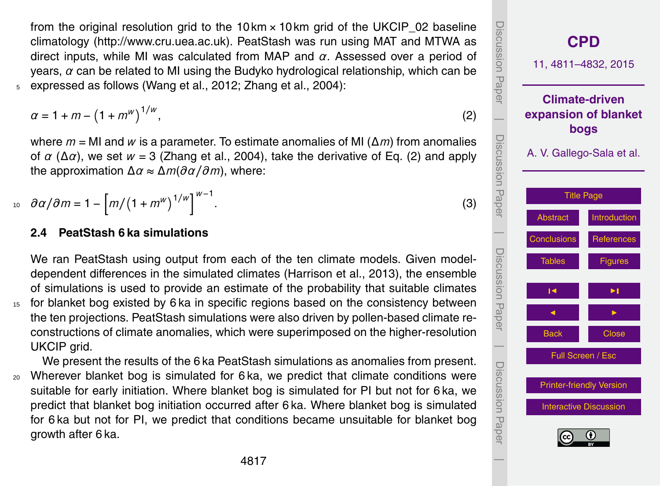from the original resolution grid to the  $10 \text{km} \times 10 \text{km}$  grid of the UKCIP\_02 baseline climatology [\(http://www.cru.uea.ac.uk\)](http://www.cru.uea.ac.uk). PeatStash was run using MAT and MTWA as direct inputs, while MI was calculated from MAP and *α*. Assessed over a period of years, *α* can be related to MI using the Budyko hydrological relationship, which can be <sup>5</sup> expressed as follows (Wang et al., 2012; Zhang et al., 2004):

$$
\alpha = 1 + m - (1 + m^w)^{1/w},\tag{2}
$$

where *m* = MI and *w* is a parameter. To estimate anomalies of MI (∆*m*) from anomalies of  $\alpha$  ( $\Delta \alpha$ ), we set  $w = 3$  (Zhang et al., 2004), take the derivative of Eq. (2) and apply the approximation ∆*α* ≈ ∆*m*(*∂α/∂m*), where:

$$
10 \quad \partial \alpha / \partial m = 1 - \left[ m / \left( 1 + m^w \right)^{1/w} \right]^{w-1}.
$$

#### **2.4 PeatStash 6 ka simulations**

We ran PeatStash using output from each of the ten climate models. Given modeldependent differences in the simulated climates (Harrison et al., 2013), the ensemble of simulations is used to provide an estimate of the probability that suitable climates <sup>15</sup> for blanket bog existed by 6 ka in specific regions based on the consistency between the ten projections. PeatStash simulations were also driven by pollen-based climate reconstructions of climate anomalies, which were superimposed on the higher-resolution UKCIP grid.

We present the results of the 6 ka PeatStash simulations as anomalies from present. <sup>20</sup> Wherever blanket bog is simulated for 6 ka, we predict that climate conditions were suitable for early initiation. Where blanket bog is simulated for PI but not for 6 ka, we predict that blanket bog initiation occurred after 6 ka. Where blanket bog is simulated for 6 ka but not for PI, we predict that conditions became unsuitable for blanket bog growth after 6 ka.

**[CPD](http://www.clim-past-discuss.net)** 11, 4811–4832, 2015 **Climate-driven expansion of blanket bogs** A. V. Gallego-Sala et al. [Title Page](#page-0-0) [Abstract](#page-1-0) [Introduction](#page-2-0) [Conclusions](#page-8-0) [References](#page-11-0) [Tables](#page-16-0) [Figures](#page-18-0) J I J I Back Close Full Screen / Esc [Printer-friendly Version](http://www.clim-past-discuss.net/11/4811/2015/cpd-11-4811-2015-print.pdf) [Interactive Discussion](http://www.clim-past-discuss.net/11/4811/2015/cpd-11-4811-2015-discussion.html) Discussion Paper | Discussion Paper | Discussion Paper | Discussion Paper|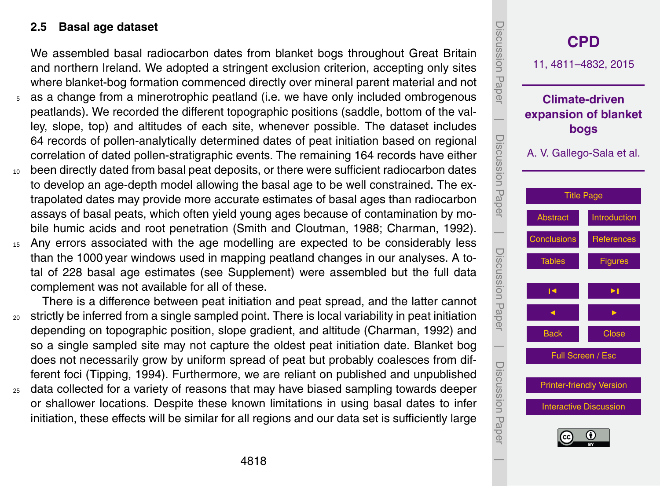#### **2.5 Basal age dataset**

We assembled basal radiocarbon dates from blanket bogs throughout Great Britain and northern Ireland. We adopted a stringent exclusion criterion, accepting only sites where blanket-bog formation commenced directly over mineral parent material and not

- as a change from a minerotrophic peatland (i.e. we have only included ombrogenous peatlands). We recorded the different topographic positions (saddle, bottom of the valley, slope, top) and altitudes of each site, whenever possible. The dataset includes 64 records of pollen-analytically determined dates of peat initiation based on regional correlation of dated pollen-stratigraphic events. The remaining 164 records have either
- <sup>10</sup> been directly dated from basal peat deposits, or there were sufficient radiocarbon dates to develop an age-depth model allowing the basal age to be well constrained. The extrapolated dates may provide more accurate estimates of basal ages than radiocarbon assays of basal peats, which often yield young ages because of contamination by mobile humic acids and root penetration (Smith and Cloutman, 1988; Charman, 1992).
- <sup>15</sup> Any errors associated with the age modelling are expected to be considerably less than the 1000 year windows used in mapping peatland changes in our analyses. A total of 228 basal age estimates (see Supplement) were assembled but the full data complement was not available for all of these.

There is a difference between peat initiation and peat spread, and the latter cannot <sup>20</sup> strictly be inferred from a single sampled point. There is local variability in peat initiation depending on topographic position, slope gradient, and altitude (Charman, 1992) and so a single sampled site may not capture the oldest peat initiation date. Blanket bog does not necessarily grow by uniform spread of peat but probably coalesces from different foci (Tipping, 1994). Furthermore, we are reliant on published and unpublished

<sub>25</sub> data collected for a variety of reasons that may have biased sampling towards deeper or shallower locations. Despite these known limitations in using basal dates to infer initiation, these effects will be similar for all regions and our data set is sufficiently large

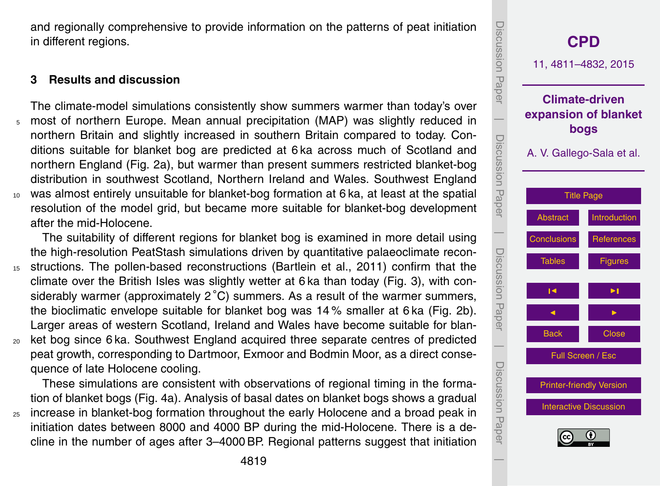Discussion Discussion Paper**[CPD](http://www.clim-past-discuss.net)** 11, 4811–4832, 2015 Paper **Climate-driven expansion of blanket**  $\overline{\phantom{a}}$ **bogs** Discussion PaperDiscussion A. V. Gallego-Sala et al. Paper [Title Page](#page-0-0) [Abstract](#page-1-0) [Introduction](#page-2-0)  $\overline{\phantom{a}}$ Conclusions **[References](#page-11-0)**  Discussion PaperDiscussion Paper [Tables](#page-16-0) **[Figures](#page-18-0) J** I I I I **J** I I I I Back **N** Close  $\overline{\phantom{a}}$ Full Screen / Esc Discussion PaperDiscussion Paper [Printer-friendly Version](http://www.clim-past-discuss.net/11/4811/2015/cpd-11-4811-2015-print.pdf) [Interactive Discussion](http://www.clim-past-discuss.net/11/4811/2015/cpd-11-4811-2015-discussion.html)

 $\overline{\phantom{a}}$ 

<span id="page-8-0"></span>and regionally comprehensive to provide information on the patterns of peat initiation in different regions.

# **3 Results and discussion**

The climate-model simulations consistently show summers warmer than today's over <sup>5</sup> most of northern Europe. Mean annual precipitation (MAP) was slightly reduced in northern Britain and slightly increased in southern Britain compared to today. Conditions suitable for blanket bog are predicted at 6 ka across much of Scotland and northern England (Fig. 2a), but warmer than present summers restricted blanket-bog distribution in southwest Scotland, Northern Ireland and Wales. Southwest England <sup>10</sup> was almost entirely unsuitable for blanket-bog formation at 6 ka, at least at the spatial resolution of the model grid, but became more suitable for blanket-bog development after the mid-Holocene.

The suitability of different regions for blanket bog is examined in more detail using the high-resolution PeatStash simulations driven by quantitative palaeoclimate recon-<sup>15</sup> structions. The pollen-based reconstructions (Bartlein et al., 2011) confirm that the climate over the British Isles was slightly wetter at 6 ka than today (Fig. 3), with considerably warmer (approximately  $2^{\circ}$ C) summers. As a result of the warmer summers, the bioclimatic envelope suitable for blanket bog was 14 % smaller at 6 ka (Fig. 2b). Larger areas of western Scotland, Ireland and Wales have become suitable for blan-<sup>20</sup> ket bog since 6 ka. Southwest England acquired three separate centres of predicted

peat growth, corresponding to Dartmoor, Exmoor and Bodmin Moor, as a direct consequence of late Holocene cooling.

These simulations are consistent with observations of regional timing in the formation of blanket bogs (Fig. 4a). Analysis of basal dates on blanket bogs shows a gradual <sub>25</sub> increase in blanket-bog formation throughout the early Holocene and a broad peak in initiation dates between 8000 and 4000 BP during the mid-Holocene. There is a decline in the number of ages after 3–4000 BP. Regional patterns suggest that initiation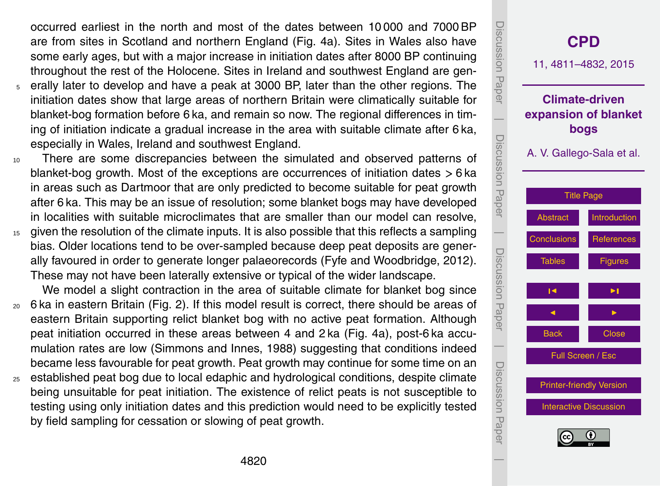occurred earliest in the north and most of the dates between 10 000 and 7000 BP are from sites in Scotland and northern England (Fig. 4a). Sites in Wales also have some early ages, but with a major increase in initiation dates after 8000 BP continuing throughout the rest of the Holocene. Sites in Ireland and southwest England are gen-

- <sup>5</sup> erally later to develop and have a peak at 3000 BP, later than the other regions. The initiation dates show that large areas of northern Britain were climatically suitable for blanket-bog formation before 6 ka, and remain so now. The regional differences in timing of initiation indicate a gradual increase in the area with suitable climate after 6 ka, especially in Wales, Ireland and southwest England.
- <sup>10</sup> There are some discrepancies between the simulated and observed patterns of blanket-bog growth. Most of the exceptions are occurrences of initiation dates *>* 6 ka in areas such as Dartmoor that are only predicted to become suitable for peat growth after 6 ka. This may be an issue of resolution; some blanket bogs may have developed in localities with suitable microclimates that are smaller than our model can resolve,
- <sup>15</sup> given the resolution of the climate inputs. It is also possible that this reflects a sampling bias. Older locations tend to be over-sampled because deep peat deposits are generally favoured in order to generate longer palaeorecords (Fyfe and Woodbridge, 2012). These may not have been laterally extensive or typical of the wider landscape.

We model a slight contraction in the area of suitable climate for blanket bog since

- <sup>20</sup> 6 ka in eastern Britain (Fig. 2). If this model result is correct, there should be areas of eastern Britain supporting relict blanket bog with no active peat formation. Although peat initiation occurred in these areas between 4 and 2 ka (Fig. 4a), post-6 ka accumulation rates are low (Simmons and Innes, 1988) suggesting that conditions indeed became less favourable for peat growth. Peat growth may continue for some time on an
- <sup>25</sup> established peat bog due to local edaphic and hydrological conditions, despite climate being unsuitable for peat initiation. The existence of relict peats is not susceptible to testing using only initiation dates and this prediction would need to be explicitly tested by field sampling for cessation or slowing of peat growth.

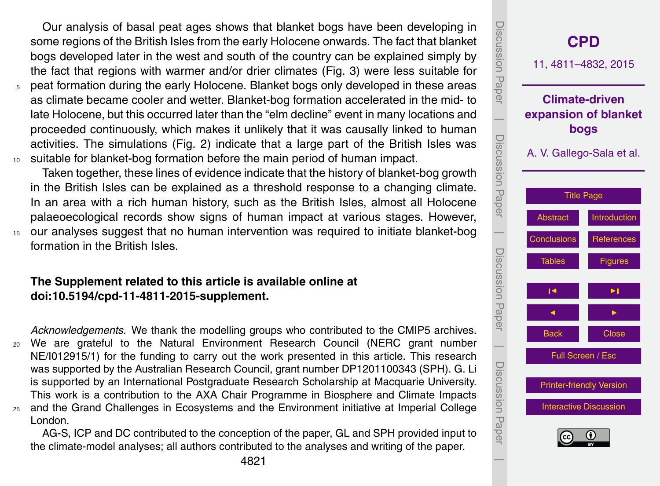Our analysis of basal peat ages shows that blanket bogs have been developing in some regions of the British Isles from the early Holocene onwards. The fact that blanket bogs developed later in the west and south of the country can be explained simply by the fact that regions with warmer and/or drier climates (Fig. 3) were less suitable for <sup>5</sup> peat formation during the early Holocene. Blanket bogs only developed in these areas

as climate became cooler and wetter. Blanket-bog formation accelerated in the mid- to late Holocene, but this occurred later than the "elm decline" event in many locations and proceeded continuously, which makes it unlikely that it was causally linked to human activities. The simulations (Fig. 2) indicate that a large part of the British Isles was <sup>10</sup> suitable for blanket-bog formation before the main period of human impact.

Taken together, these lines of evidence indicate that the history of blanket-bog growth in the British Isles can be explained as a threshold response to a changing climate. In an area with a rich human history, such as the British Isles, almost all Holocene palaeoecological records show signs of human impact at various stages. However, <sup>15</sup> our analyses suggest that no human intervention was required to initiate blanket-bog formation in the British Isles.

#### **The Supplement related to this article is available online at [doi:10.5194/cpd-11-4811-2015-supplement.](http://dx.doi.org/10.5194/cpd-11-4811-2015-supplement)**

*Acknowledgements.* We thank the modelling groups who contributed to the CMIP5 archives. <sup>20</sup> We are grateful to the Natural Environment Research Council (NERC grant number NE/I012915/1) for the funding to carry out the work presented in this article. This research was supported by the Australian Research Council, grant number DP1201100343 (SPH). G. Li is supported by an International Postgraduate Research Scholarship at Macquarie University. This work is a contribution to the AXA Chair Programme in Biosphere and Climate Impacts <sup>25</sup> and the Grand Challenges in Ecosystems and the Environment initiative at Imperial College London.

AG-S, ICP and DC contributed to the conception of the paper, GL and SPH provided input to the climate-model analyses; all authors contributed to the analyses and writing of the paper.

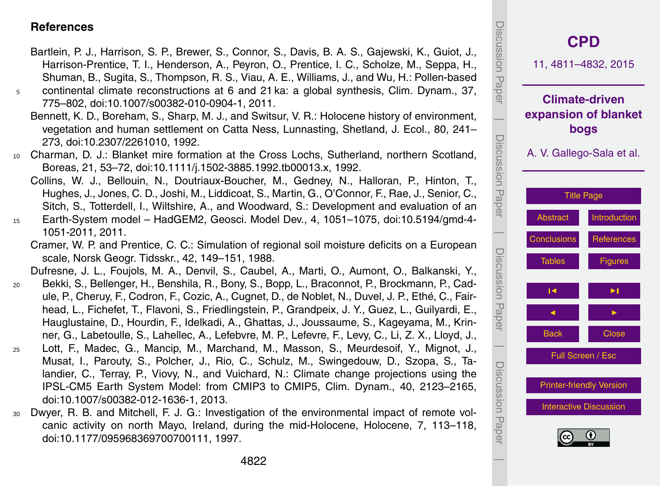#### <span id="page-11-0"></span>**References**

- Bartlein, P. J., Harrison, S. P., Brewer, S., Connor, S., Davis, B. A. S., Gajewski, K., Guiot, J., Harrison-Prentice, T. I., Henderson, A., Peyron, O., Prentice, I. C., Scholze, M., Seppa, H., Shuman, B., Sugita, S., Thompson, R. S., Viau, A. E., Williams, J., and Wu, H.: Pollen-based
- <sup>5</sup> continental climate reconstructions at 6 and 21 ka: a global synthesis, Clim. Dynam., 37, 775–802, doi[:10.1007/s00382-010-0904-1,](http://dx.doi.org/10.1007/s00382-010-0904-1) 2011.
	- Bennett, K. D., Boreham, S., Sharp, M. J., and Switsur, V. R.: Holocene history of environment, vegetation and human settlement on Catta Ness, Lunnasting, Shetland, J. Ecol., 80, 241– 273, doi[:10.2307/2261010,](http://dx.doi.org/10.2307/2261010) 1992.
- <sup>10</sup> Charman, D. J.: Blanket mire formation at the Cross Lochs, Sutherland, northern Scotland, Boreas, 21, 53–72, doi[:10.1111/j.1502-3885.1992.tb00013.x,](http://dx.doi.org/10.1111/j.1502-3885.1992.tb00013.x) 1992.
- Collins, W. J., Bellouin, N., Doutriaux-Boucher, M., Gedney, N., Halloran, P., Hinton, T., Hughes, J., Jones, C. D., Joshi, M., Liddicoat, S., Martin, G., O'Connor, F., Rae, J., Senior, C., Sitch, S., Totterdell, I., Wiltshire, A., and Woodward, S.: Development and evaluation of an <sup>15</sup> Earth-System model – HadGEM2, Geosci. Model Dev., 4, 1051–1075, doi[:10.5194/gmd-4-](http://dx.doi.org/10.5194/gmd-4-1051-2011)
- [1051-2011,](http://dx.doi.org/10.5194/gmd-4-1051-2011) 2011.
	- Cramer, W. P. and Prentice, C. C.: Simulation of regional soil moisture deficits on a European scale, Norsk Geogr. Tidsskr., 42, 149–151, 1988.

Dufresne, J. L., Foujols, M. A., Denvil, S., Caubel, A., Marti, O., Aumont, O., Balkanski, Y.,

- <sup>20</sup> Bekki, S., Bellenger, H., Benshila, R., Bony, S., Bopp, L., Braconnot, P., Brockmann, P., Cadule, P., Cheruy, F., Codron, F., Cozic, A., Cugnet, D., de Noblet, N., Duvel, J. P., Ethé, C., Fairhead, L., Fichefet, T., Flavoni, S., Friedlingstein, P., Grandpeix, J. Y., Guez, L., Guilyardi, E., Hauglustaine, D., Hourdin, F., Idelkadi, A., Ghattas, J., Joussaume, S., Kageyama, M., Krinner, G., Labetoulle, S., Lahellec, A., Lefebvre, M. P., Lefevre, F., Levy, C., Li, Z. X., Lloyd, J.,
- <sup>25</sup> Lott, F., Madec, G., Mancip, M., Marchand, M., Masson, S., Meurdesoif, Y., Mignot, J., Musat, I., Parouty, S., Polcher, J., Rio, C., Schulz, M., Swingedouw, D., Szopa, S., Talandier, C., Terray, P., Viovy, N., and Vuichard, N.: Climate change projections using the IPSL-CM5 Earth System Model: from CMIP3 to CMIP5, Clim. Dynam., 40, 2123–2165, doi[:10.1007/s00382-012-1636-1,](http://dx.doi.org/10.1007/s00382-012-1636-1) 2013.
- <sup>30</sup> Dwyer, R. B. and Mitchell, F. J. G.: Investigation of the environmental impact of remote volcanic activity on north Mayo, Ireland, during the mid-Holocene, Holocene, 7, 113–118, doi[:10.1177/095968369700700111,](http://dx.doi.org/10.1177/095968369700700111) 1997.

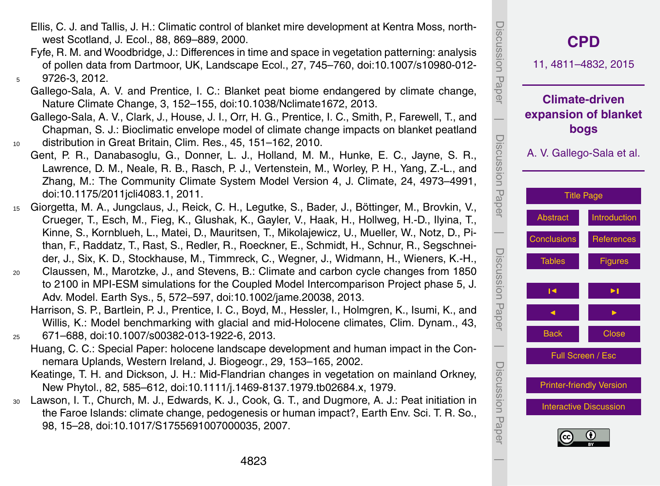- Ellis, C. J. and Tallis, J. H.: Climatic control of blanket mire development at Kentra Moss, northwest Scotland, J. Ecol., 88, 869–889, 2000.
- Fyfe, R. M. and Woodbridge, J.: Differences in time and space in vegetation patterning: analysis of pollen data from Dartmoor, UK, Landscape Ecol., 27, 745–760, doi[:10.1007/s10980-012-](http://dx.doi.org/10.1007/s10980-012-9726-3) <sup>5</sup> [9726-3,](http://dx.doi.org/10.1007/s10980-012-9726-3) 2012.
	- Gallego-Sala, A. V. and Prentice, I. C.: Blanket peat biome endangered by climate change, Nature Climate Change, 3, 152–155, doi[:10.1038/Nclimate1672,](http://dx.doi.org/10.1038/Nclimate1672) 2013.
- Gallego-Sala, A. V., Clark, J., House, J. I., Orr, H. G., Prentice, I. C., Smith, P., Farewell, T., and Chapman, S. J.: Bioclimatic envelope model of climate change impacts on blanket peatland <sup>10</sup> distribution in Great Britain, Clim. Res., 45, 151–162, 2010.
- Gent, P. R., Danabasoglu, G., Donner, L. J., Holland, M. M., Hunke, E. C., Jayne, S. R., Lawrence, D. M., Neale, R. B., Rasch, P. J., Vertenstein, M., Worley, P. H., Yang, Z.-L., and Zhang, M.: The Community Climate System Model Version 4, J. Climate, 24, 4973–4991, doi[:10.1175/2011jcli4083.1,](http://dx.doi.org/10.1175/2011jcli4083.1) 2011.
- <sup>15</sup> Giorgetta, M. A., Jungclaus, J., Reick, C. H., Legutke, S., Bader, J., Böttinger, M., Brovkin, V., Crueger, T., Esch, M., Fieg, K., Glushak, K., Gayler, V., Haak, H., Hollweg, H.-D., Ilyina, T., Kinne, S., Kornblueh, L., Matei, D., Mauritsen, T., Mikolajewicz, U., Mueller, W., Notz, D., Pithan, F., Raddatz, T., Rast, S., Redler, R., Roeckner, E., Schmidt, H., Schnur, R., Segschneider, J., Six, K. D., Stockhause, M., Timmreck, C., Wegner, J., Widmann, H., Wieners, K.-H.,
- <sup>20</sup> Claussen, M., Marotzke, J., and Stevens, B.: Climate and carbon cycle changes from 1850 to 2100 in MPI-ESM simulations for the Coupled Model Intercomparison Project phase 5, J. Adv. Model. Earth Sys., 5, 572–597, doi[:10.1002/jame.20038,](http://dx.doi.org/10.1002/jame.20038) 2013.
- Harrison, S. P., Bartlein, P. J., Prentice, I. C., Boyd, M., Hessler, I., Holmgren, K., Isumi, K., and Willis, K.: Model benchmarking with glacial and mid-Holocene climates, Clim. Dynam., 43, <sup>25</sup> 671–688, doi[:10.1007/s00382-013-1922-6,](http://dx.doi.org/10.1007/s00382-013-1922-6) 2013.
	- Huang, C. C.: Special Paper: holocene landscape development and human impact in the Connemara Uplands, Western Ireland, J. Biogeogr., 29, 153–165, 2002.
	- Keatinge, T. H. and Dickson, J. H.: Mid-Flandrian changes in vegetation on mainland Orkney, New Phytol., 82, 585–612, doi[:10.1111/j.1469-8137.1979.tb02684.x,](http://dx.doi.org/10.1111/j.1469-8137.1979.tb02684.x) 1979.
- <sup>30</sup> Lawson, I. T., Church, M. J., Edwards, K. J., Cook, G. T., and Dugmore, A. J.: Peat initiation in the Faroe Islands: climate change, pedogenesis or human impact?, Earth Env. Sci. T. R. So., 98, 15–28, doi[:10.1017/S1755691007000035,](http://dx.doi.org/10.1017/S1755691007000035) 2007.

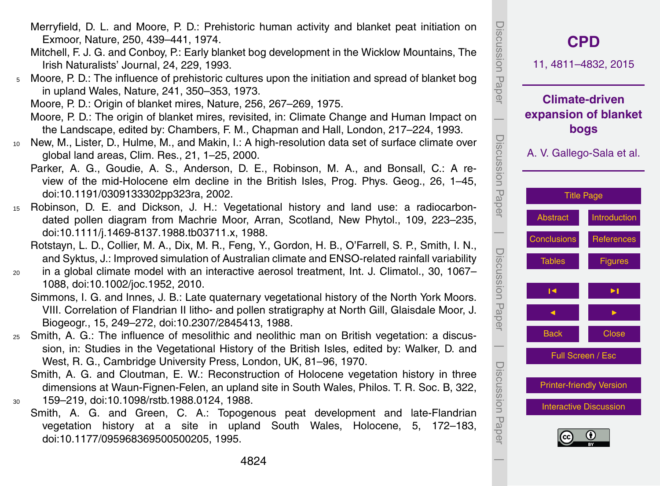- Merryfield, D. L. and Moore, P. D.: Prehistoric human activity and blanket peat initiation on Exmoor, Nature, 250, 439–441, 1974.
- Mitchell, F. J. G. and Conboy, P.: Early blanket bog development in the Wicklow Mountains, The Irish Naturalists' Journal, 24, 229, 1993.
- <sup>5</sup> Moore, P. D.: The influence of prehistoric cultures upon the initiation and spread of blanket bog in upland Wales, Nature, 241, 350–353, 1973.

Moore, P. D.: Origin of blanket mires, Nature, 256, 267–269, 1975.

- Moore, P. D.: The origin of blanket mires, revisited, in: Climate Change and Human Impact on the Landscape, edited by: Chambers, F. M., Chapman and Hall, London, 217–224, 1993.
- <sup>10</sup> New, M., Lister, D., Hulme, M., and Makin, I.: A high-resolution data set of surface climate over global land areas, Clim. Res., 21, 1–25, 2000.
	- Parker, A. G., Goudie, A. S., Anderson, D. E., Robinson, M. A., and Bonsall, C.: A review of the mid-Holocene elm decline in the British Isles, Prog. Phys. Geog., 26, 1–45, doi[:10.1191/0309133302pp323ra,](http://dx.doi.org/10.1191/0309133302pp323ra) 2002.
- <sup>15</sup> Robinson, D. E. and Dickson, J. H.: Vegetational history and land use: a radiocarbondated pollen diagram from Machrie Moor, Arran, Scotland, New Phytol., 109, 223–235, doi[:10.1111/j.1469-8137.1988.tb03711.x,](http://dx.doi.org/10.1111/j.1469-8137.1988.tb03711.x) 1988.
	- Rotstayn, L. D., Collier, M. A., Dix, M. R., Feng, Y., Gordon, H. B., O'Farrell, S. P., Smith, I. N., and Syktus, J.: Improved simulation of Australian climate and ENSO-related rainfall variability
- <sup>20</sup> in a global climate model with an interactive aerosol treatment, Int. J. Climatol., 30, 1067– 1088, doi[:10.1002/joc.1952,](http://dx.doi.org/10.1002/joc.1952) 2010.
	- Simmons, I. G. and Innes, J. B.: Late quaternary vegetational history of the North York Moors. VIII. Correlation of Flandrian II litho- and pollen stratigraphy at North Gill, Glaisdale Moor, J. Biogeogr., 15, 249–272, doi[:10.2307/2845413,](http://dx.doi.org/10.2307/2845413) 1988.
- <sup>25</sup> Smith, A. G.: The influence of mesolithic and neolithic man on British vegetation: a discussion, in: Studies in the Vegetational History of the British Isles, edited by: Walker, D. and West, R. G., Cambridge University Press, London, UK, 81–96, 1970.
- Smith, A. G. and Cloutman, E. W.: Reconstruction of Holocene vegetation history in three dimensions at Waun-Fignen-Felen, an upland site in South Wales, Philos. T. R. Soc. B, 322, <sup>30</sup> 159–219, doi[:10.1098/rstb.1988.0124,](http://dx.doi.org/10.1098/rstb.1988.0124) 1988.
	- Smith, A. G. and Green, C. A.: Topogenous peat development and late-Flandrian vegetation history at a site in upland South Wales, Holocene, 5, 172–183, doi[:10.1177/095968369500500205,](http://dx.doi.org/10.1177/095968369500500205) 1995.

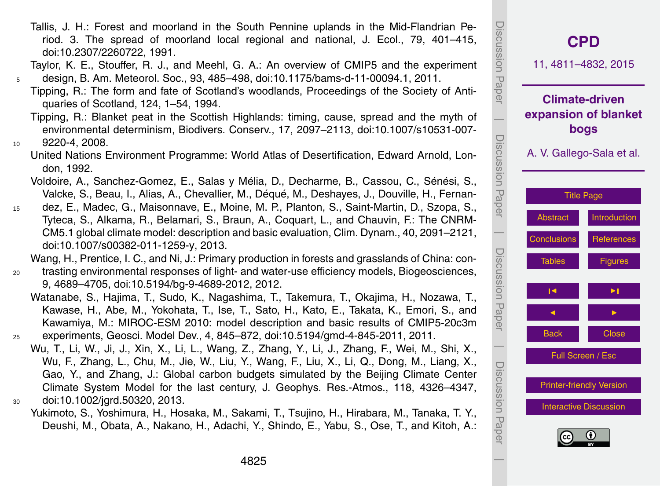Tallis, J. H.: Forest and moorland in the South Pennine uplands in the Mid-Flandrian Period. 3. The spread of moorland local regional and national, J. Ecol., 79, 401–415, doi[:10.2307/2260722,](http://dx.doi.org/10.2307/2260722) 1991.

Taylor, K. E., Stouffer, R. J., and Meehl, G. A.: An overview of CMIP5 and the experiment <sup>5</sup> design, B. Am. Meteorol. Soc., 93, 485–498, doi[:10.1175/bams-d-11-00094.1,](http://dx.doi.org/10.1175/bams-d-11-00094.1) 2011.

- Tipping, R.: The form and fate of Scotland's woodlands, Proceedings of the Society of Antiquaries of Scotland, 124, 1–54, 1994.
- Tipping, R.: Blanket peat in the Scottish Highlands: timing, cause, spread and the myth of environmental determinism, Biodivers. Conserv., 17, 2097–2113, doi[:10.1007/s10531-007-](http://dx.doi.org/10.1007/s10531-007-9220-4) <sup>10</sup> [9220-4,](http://dx.doi.org/10.1007/s10531-007-9220-4) 2008.
	- United Nations Environment Programme: World Atlas of Desertification, Edward Arnold, London, 1992.
	- Voldoire, A., Sanchez-Gomez, E., Salas y Mélia, D., Decharme, B., Cassou, C., Sénési, S., Valcke, S., Beau, I., Alias, A., Chevallier, M., Déqué, M., Deshayes, J., Douville, H., Fernan-
- <sup>15</sup> dez, E., Madec, G., Maisonnave, E., Moine, M. P., Planton, S., Saint-Martin, D., Szopa, S., Tyteca, S., Alkama, R., Belamari, S., Braun, A., Coquart, L., and Chauvin, F.: The CNRM-CM5.1 global climate model: description and basic evaluation, Clim. Dynam., 40, 2091–2121, doi[:10.1007/s00382-011-1259-y,](http://dx.doi.org/10.1007/s00382-011-1259-y) 2013.

Wang, H., Prentice, I. C., and Ni, J.: Primary production in forests and grasslands of China: con-

- <sup>20</sup> trasting environmental responses of light- and water-use efficiency models, Biogeosciences, 9, 4689–4705, doi[:10.5194/bg-9-4689-2012,](http://dx.doi.org/10.5194/bg-9-4689-2012) 2012.
- Watanabe, S., Hajima, T., Sudo, K., Nagashima, T., Takemura, T., Okajima, H., Nozawa, T., Kawase, H., Abe, M., Yokohata, T., Ise, T., Sato, H., Kato, E., Takata, K., Emori, S., and Kawamiya, M.: MIROC-ESM 2010: model description and basic results of CMIP5-20c3m <sup>25</sup> experiments, Geosci. Model Dev., 4, 845–872, doi[:10.5194/gmd-4-845-2011,](http://dx.doi.org/10.5194/gmd-4-845-2011) 2011.
- Wu, T., Li, W., Ji, J., Xin, X., Li, L., Wang, Z., Zhang, Y., Li, J., Zhang, F., Wei, M., Shi, X., Wu, F., Zhang, L., Chu, M., Jie, W., Liu, Y., Wang, F., Liu, X., Li, Q., Dong, M., Liang, X., Gao, Y., and Zhang, J.: Global carbon budgets simulated by the Beijing Climate Center Climate System Model for the last century, J. Geophys. Res.-Atmos., 118, 4326–4347, <sup>30</sup> doi[:10.1002/jgrd.50320,](http://dx.doi.org/10.1002/jgrd.50320) 2013.
	- Yukimoto, S., Yoshimura, H., Hosaka, M., Sakami, T., Tsujino, H., Hirabara, M., Tanaka, T. Y., Deushi, M., Obata, A., Nakano, H., Adachi, Y., Shindo, E., Yabu, S., Ose, T., and Kitoh, A.:

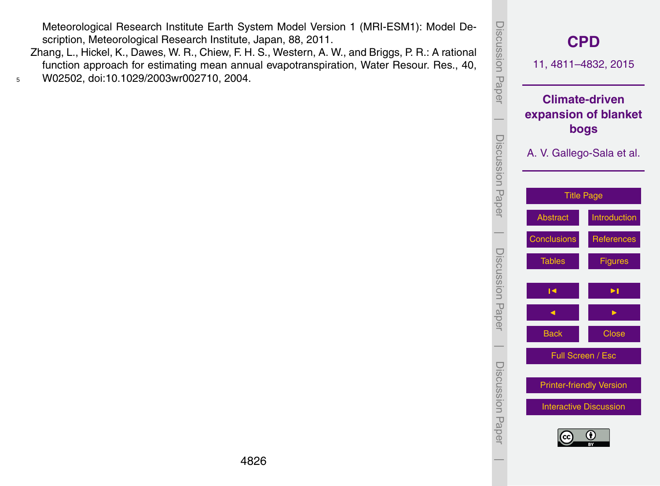Meteorological Research Institute Earth System Model Version 1 (MRI-ESM1): Model Description, Meteorological Research Institute, Japan, 88, 2011.

Zhang, L., Hickel, K., Dawes, W. R., Chiew, F. H. S., Western, A. W., and Briggs, P. R.: A rational function approach for estimating mean annual evapotranspiration, Water Resour. Res., 40, <sup>5</sup> W02502, doi[:10.1029/2003wr002710,](http://dx.doi.org/10.1029/2003wr002710) 2004.

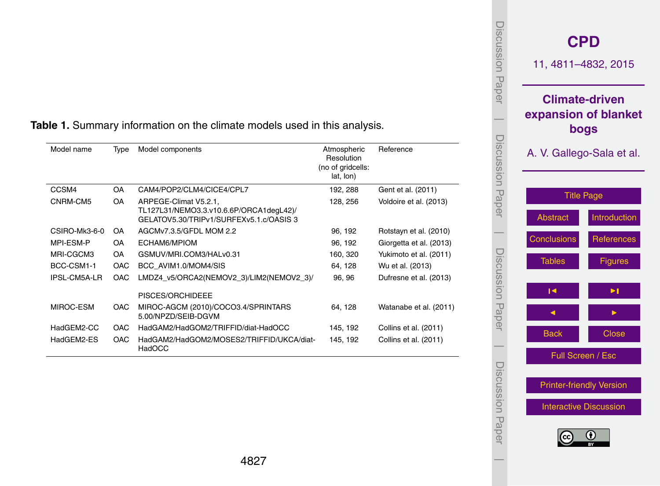| Model name    | Type       | Model components                                                                                            | Atmospheric<br>Resolution<br>(no of gridcells:<br>lat, lon) | Reference               |
|---------------|------------|-------------------------------------------------------------------------------------------------------------|-------------------------------------------------------------|-------------------------|
| CCSM4         | <b>OA</b>  | CAM4/POP2/CLM4/CICE4/CPL7                                                                                   | 192, 288                                                    | Gent et al. (2011)      |
| CNRM-CM5      | <b>OA</b>  | ARPEGE-Climat V5.2.1.<br>TL127L31/NEMO3.3.v10.6.6P/ORCA1degL42)/<br>GELATOV5.30/TRIPv1/SURFEXv5.1.c/OASIS 3 | 128, 256                                                    | Voldoire et al. (2013)  |
| CSIRO-Mk3-6-0 | OA.        | AGCMv7.3.5/GFDL MOM 2.2                                                                                     | 96, 192                                                     | Rotstayn et al. (2010)  |
| MPI-FSM-P     | <b>OA</b>  | FCHAM6/MPIOM                                                                                                | 96, 192                                                     | Giorgetta et al. (2013) |
| MRI-CGCM3     | <b>OA</b>  | GSMUV/MRI.COM3/HALv0.31                                                                                     | 160, 320                                                    | Yukimoto et al. (2011)  |
| BCC-CSM1-1    | <b>OAC</b> | BCC AVIM1.0/MOM4/SIS                                                                                        | 64, 128                                                     | Wu et al. (2013)        |
| IPSL-CM5A-LR  | <b>OAC</b> | LMDZ4 v5/ORCA2(NEMOV2 3)/LIM2(NEMOV2 3)/                                                                    | 96, 96                                                      | Dufresne et al. (2013)  |
|               |            | PISCES/ORCHIDEEE                                                                                            |                                                             |                         |
| MIROC-ESM     | <b>OAC</b> | MIROC-AGCM (2010)/COCO3.4/SPRINTARS<br>5.00/NPZD/SEIB-DGVM                                                  | 64.128                                                      | Watanabe et al. (2011)  |
| HadGEM2-CC    | <b>OAC</b> | HadGAM2/HadGOM2/TRIFFID/diat-HadOCC                                                                         | 145, 192                                                    | Collins et al. (2011)   |
| HadGEM2-ES    | <b>OAC</b> | HadGAM2/HadGOM2/MOSES2/TRIFFID/UKCA/diat-<br>HadOCC                                                         | 145, 192                                                    | Collins et al. (2011)   |

#### <span id="page-16-0"></span>**Table 1.** Summary information on the climate models used in this analysis.



Discussion Paper

Discussion Paper

 $\overline{\phantom{a}}$ 

Discussion Paper

Discussion Paper

 $\overline{\phantom{a}}$ 

Discussion Paper

Discussion Paper

 $\overline{\phantom{a}}$ 

Discussion Paper

Discussion Paper

 $\overline{\phantom{a}}$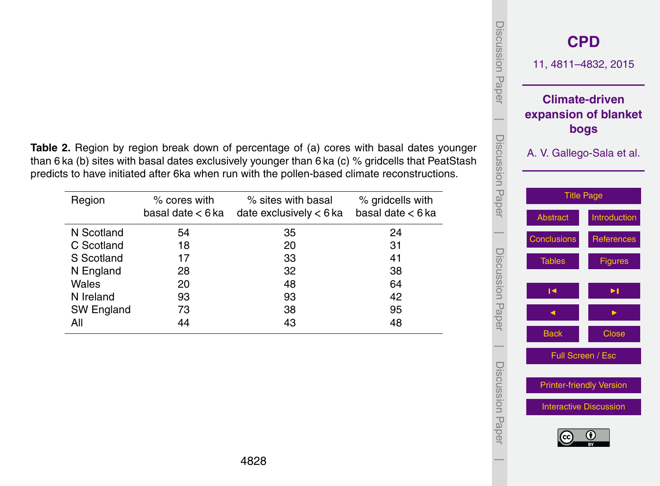| Table 2. Region by region break down of percentage of (a) cores with basal dates younger          |
|---------------------------------------------------------------------------------------------------|
| than 6 ka (b) sites with basal dates exclusively younger than 6 ka (c) % gridcells that PeatStash |
| predicts to have initiated after 6ka when run with the pollen-based climate reconstructions.      |

| Region     | % cores with<br>basal date < 6 ka | % sites with basal<br>date exclusively $< 6$ ka | % gridcells with<br>basal date $< 6$ ka |
|------------|-----------------------------------|-------------------------------------------------|-----------------------------------------|
| N Scotland | 54                                | 35                                              | 24                                      |
| C Scotland | 18                                | 20                                              | 31                                      |
| S Scotland | 17                                | 33                                              | 41                                      |
| N England  | 28                                | 32                                              | 38                                      |
| Wales      | 20                                | 48                                              | 64                                      |
| N Ireland  | 93                                | 93                                              | 42                                      |
| SW England | 73                                | 38                                              | 95                                      |
| All        | 44                                | 43                                              | 48                                      |

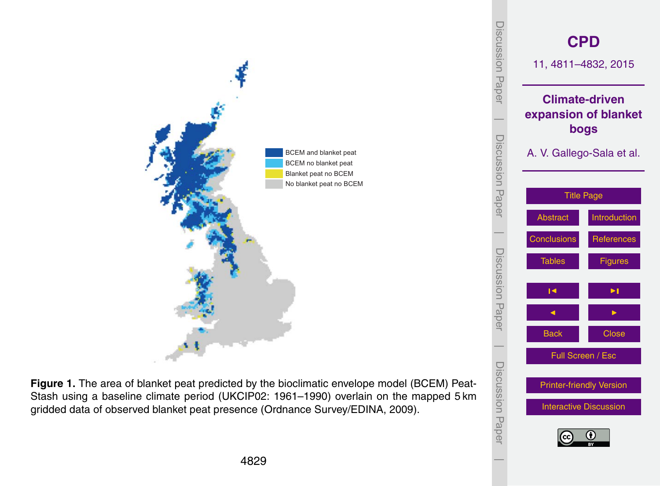<span id="page-18-0"></span>

**Figure 1.** The area of blanket peat predicted by the bioclimatic envelope model (BCEM) Peat-Stash using a baseline climate period (UKCIP02: 1961–1990) overlain on the mapped 5 km gridded data of observed blanket peat presence (Ordnance Survey/EDINA, 2009).

4829

[Printer-friendly Version](http://www.clim-past-discuss.net/11/4811/2015/cpd-11-4811-2015-print.pdf)

[Interactive Discussion](http://www.clim-past-discuss.net/11/4811/2015/cpd-11-4811-2015-discussion.html)

 $\overline{\phantom{a}}$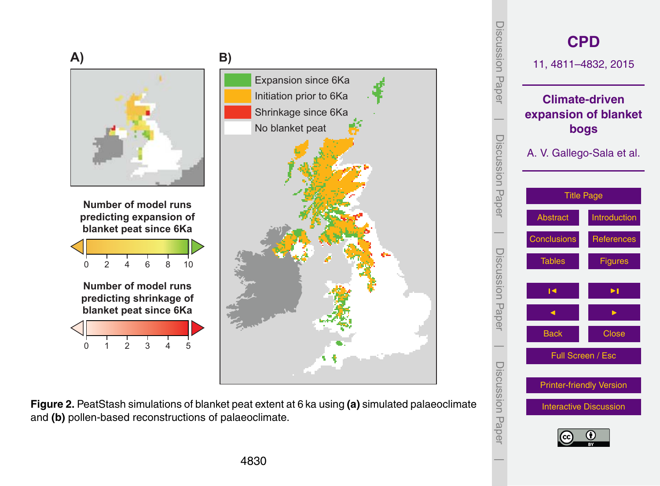

**Figure 2.** PeatStash simulations of blanket peat extent at 6 ka using **(a)** simulated palaeoclimate and **(b)** pollen-based reconstructions of palaeoclimate.

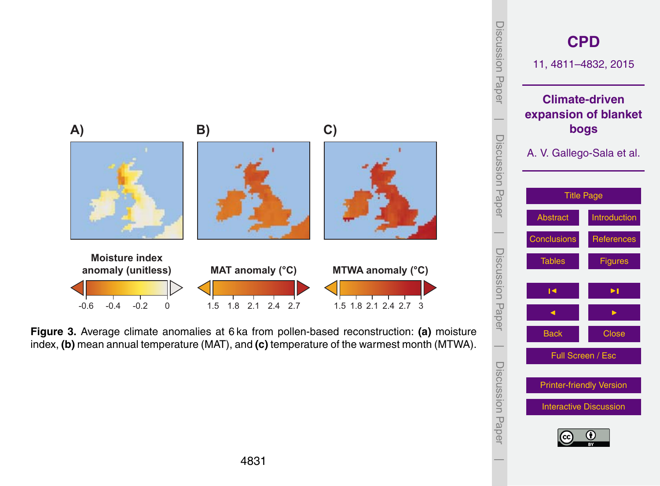

Back Close Full Screen / Esc

 $\overline{\phantom{a}}$ 

Discussion Paper

Discussion Paper

 $\overline{\phantom{a}}$ 

[Printer-friendly Version](http://www.clim-past-discuss.net/11/4811/2015/cpd-11-4811-2015-print.pdf)

[Interactive Discussion](http://www.clim-past-discuss.net/11/4811/2015/cpd-11-4811-2015-discussion.html)

**Figure 3.** Average climate anomalies at 6 ka from pollen-based reconstruction: **(a)** moisture index, **(b)** mean annual temperature (MAT), and **(c)** temperature of the warmest month (MTWA).